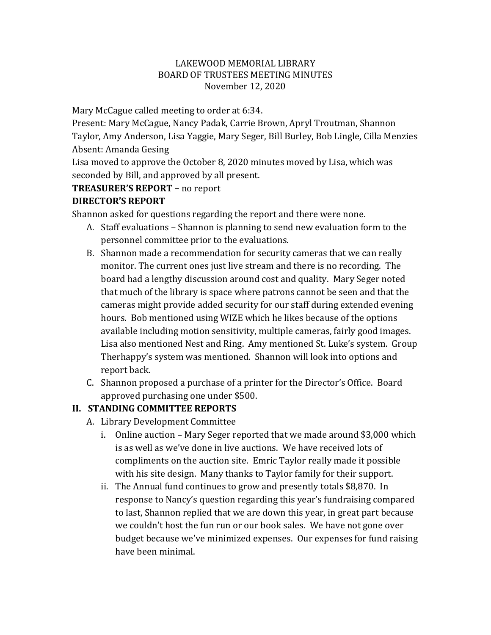#### LAKEWOOD MEMORIAL LIBRARY BOARD OF TRUSTEES MEETING MINUTES November 12, 2020

Mary McCague called meeting to order at 6:34.

Present: Mary McCague, Nancy Padak, Carrie Brown, Apryl Troutman, Shannon Taylor, Amy Anderson, Lisa Yaggie, Mary Seger, Bill Burley, Bob Lingle, Cilla Menzies Absent: Amanda Gesing

Lisa moved to approve the October 8, 2020 minutes moved by Lisa, which was seconded by Bill, and approved by all present.

# **TREASURER'S REPORT –** no report

## **DIRECTOR'S REPORT**

Shannon asked for questions regarding the report and there were none.

- A. Staff evaluations Shannon is planning to send new evaluation form to the personnel committee prior to the evaluations.
- B. Shannon made a recommendation for security cameras that we can really monitor. The current ones just live stream and there is no recording. The board had a lengthy discussion around cost and quality. Mary Seger noted that much of the library is space where patrons cannot be seen and that the cameras might provide added security for our staff during extended evening hours. Bob mentioned using WIZE which he likes because of the options available including motion sensitivity, multiple cameras, fairly good images. Lisa also mentioned Nest and Ring. Amy mentioned St. Luke's system. Group Therhappy's system was mentioned. Shannon will look into options and report back.
- C. Shannon proposed a purchase of a printer for the Director's Office. Board approved purchasing one under \$500.

# **II. STANDING COMMITTEE REPORTS**

- A. Library Development Committee
	- i. Online auction Mary Seger reported that we made around \$3,000 which is as well as we've done in live auctions. We have received lots of compliments on the auction site. Emric Taylor really made it possible with his site design. Many thanks to Taylor family for their support.
	- ii. The Annual fund continues to grow and presently totals \$8,870. In response to Nancy's question regarding this year's fundraising compared to last, Shannon replied that we are down this year, in great part because we couldn't host the fun run or our book sales. We have not gone over budget because we've minimized expenses. Our expenses for fund raising have been minimal.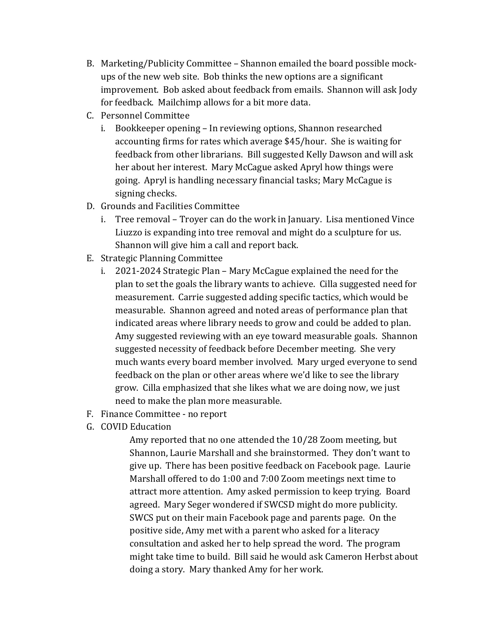- B. Marketing/Publicity Committee Shannon emailed the board possible mockups of the new web site. Bob thinks the new options are a significant improvement. Bob asked about feedback from emails. Shannon will ask Jody for feedback. Mailchimp allows for a bit more data.
- C. Personnel Committee
	- i. Bookkeeper opening In reviewing options, Shannon researched accounting firms for rates which average \$45/hour. She is waiting for feedback from other librarians. Bill suggested Kelly Dawson and will ask her about her interest. Mary McCague asked Apryl how things were going. Apryl is handling necessary financial tasks; Mary McCague is signing checks.
- D. Grounds and Facilities Committee
	- i. Tree removal Troyer can do the work in January. Lisa mentioned Vince Liuzzo is expanding into tree removal and might do a sculpture for us. Shannon will give him a call and report back.
- E. Strategic Planning Committee
	- i. 2021-2024 Strategic Plan Mary McCague explained the need for the plan to set the goals the library wants to achieve. Cilla suggested need for measurement. Carrie suggested adding specific tactics, which would be measurable. Shannon agreed and noted areas of performance plan that indicated areas where library needs to grow and could be added to plan. Amy suggested reviewing with an eye toward measurable goals. Shannon suggested necessity of feedback before December meeting. She very much wants every board member involved. Mary urged everyone to send feedback on the plan or other areas where we'd like to see the library grow. Cilla emphasized that she likes what we are doing now, we just need to make the plan more measurable.
- F. Finance Committee no report
- G. COVID Education

Amy reported that no one attended the 10/28 Zoom meeting, but Shannon, Laurie Marshall and she brainstormed. They don't want to give up. There has been positive feedback on Facebook page. Laurie Marshall offered to do 1:00 and 7:00 Zoom meetings next time to attract more attention. Amy asked permission to keep trying. Board agreed. Mary Seger wondered if SWCSD might do more publicity. SWCS put on their main Facebook page and parents page. On the positive side, Amy met with a parent who asked for a literacy consultation and asked her to help spread the word. The program might take time to build. Bill said he would ask Cameron Herbst about doing a story. Mary thanked Amy for her work.